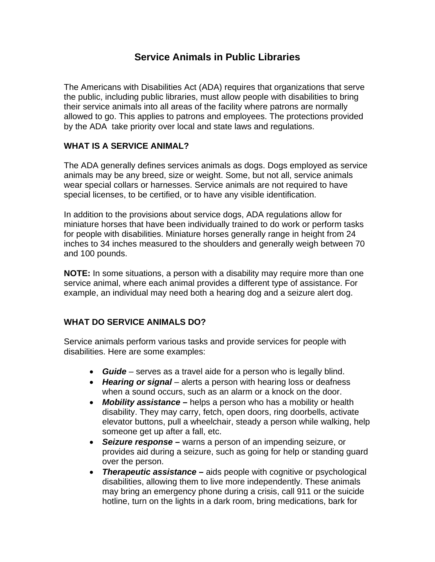# **Service Animals in Public Libraries**

The Americans with Disabilities Act (ADA) requires that organizations that serve the public, including public libraries, must allow people with disabilities to bring their service animals into all areas of the facility where patrons are normally allowed to go. This applies to patrons and employees. The protections provided by the ADA take priority over local and state laws and regulations.

## **WHAT IS A SERVICE ANIMAL?**

The ADA generally defines services animals as dogs. Dogs employed as service animals may be any breed, size or weight. Some, but not all, service animals wear special collars or harnesses. Service animals are not required to have special licenses, to be certified, or to have any visible identification.

In addition to the provisions about service dogs, ADA regulations allow for miniature horses that have been individually trained to do work or perform tasks for people with disabilities. Miniature horses generally range in height from 24 inches to 34 inches measured to the shoulders and generally weigh between 70 and 100 pounds.

**NOTE:** In some situations, a person with a disability may require more than one service animal, where each animal provides a different type of assistance. For example, an individual may need both a hearing dog and a seizure alert dog.

## **WHAT DO SERVICE ANIMALS DO?**

Service animals perform various tasks and provide services for people with disabilities. Here are some examples:

- *Guide* serves as a travel aide for a person who is legally blind.
- *Hearing or signal* alerts a person with hearing loss or deafness when a sound occurs, such as an alarm or a knock on the door.
- *Mobility assistance –* helps a person who has a mobility or health disability. They may carry, fetch, open doors, ring doorbells, activate elevator buttons, pull a wheelchair, steady a person while walking, help someone get up after a fall, etc.
- *Seizure response –* warns a person of an impending seizure, or provides aid during a seizure, such as going for help or standing guard over the person.
- *Therapeutic assistance –* aids people with cognitive or psychological disabilities, allowing them to live more independently. These animals may bring an emergency phone during a crisis, call 911 or the suicide hotline, turn on the lights in a dark room, bring medications, bark for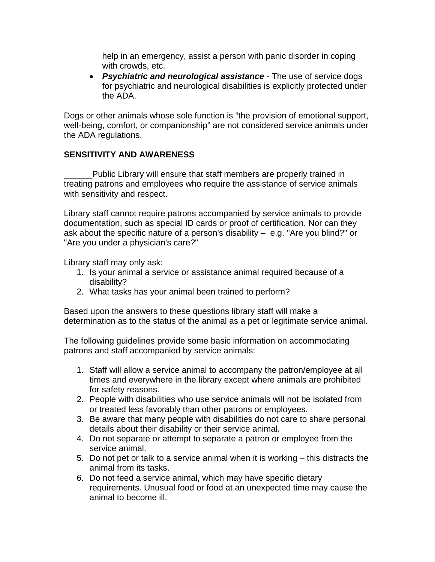help in an emergency, assist a person with panic disorder in coping with crowds, etc.

• *Psychiatric and neurological assistance* - The use of service dogs for psychiatric and neurological disabilities is explicitly protected under the ADA.

Dogs or other animals whose sole function is "the provision of emotional support, well-being, comfort, or companionship" are not considered service animals under the ADA regulations.

#### **SENSITIVITY AND AWARENESS**

Public Library will ensure that staff members are properly trained in treating patrons and employees who require the assistance of service animals with sensitivity and respect.

Library staff cannot require patrons accompanied by service animals to provide documentation, such as special ID cards or proof of certification. Nor can they ask about the specific nature of a person's disability – e.g. "Are you blind?" or "Are you under a physician's care?"

Library staff may only ask:

- 1. Is your animal a service or assistance animal required because of a disability?
- 2. What tasks has your animal been trained to perform?

Based upon the answers to these questions library staff will make a determination as to the status of the animal as a pet or legitimate service animal.

The following guidelines provide some basic information on accommodating patrons and staff accompanied by service animals:

- 1. Staff will allow a service animal to accompany the patron/employee at all times and everywhere in the library except where animals are prohibited for safety reasons.
- 2. People with disabilities who use service animals will not be isolated from or treated less favorably than other patrons or employees.
- 3. Be aware that many people with disabilities do not care to share personal details about their disability or their service animal.
- 4. Do not separate or attempt to separate a patron or employee from the service animal.
- 5. Do not pet or talk to a service animal when it is working this distracts the animal from its tasks.
- 6. Do not feed a service animal, which may have specific dietary requirements. Unusual food or food at an unexpected time may cause the animal to become ill.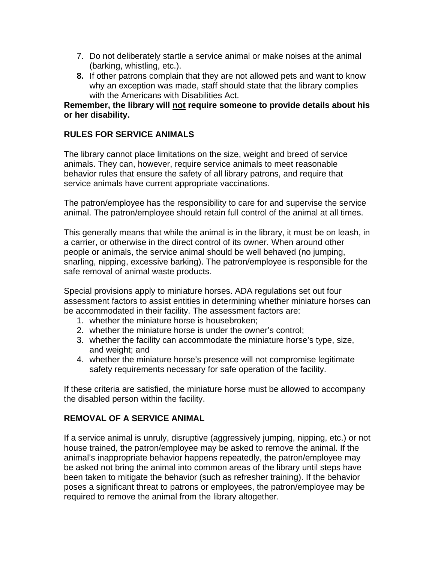- 7. Do not deliberately startle a service animal or make noises at the animal (barking, whistling, etc.).
- **8.** If other patrons complain that they are not allowed pets and want to know why an exception was made, staff should state that the library complies with the Americans with Disabilities Act.

#### **Remember, the library will not require someone to provide details about his or her disability.**

### **RULES FOR SERVICE ANIMALS**

The library cannot place limitations on the size, weight and breed of service animals. They can, however, require service animals to meet reasonable behavior rules that ensure the safety of all library patrons, and require that service animals have current appropriate vaccinations.

The patron/employee has the responsibility to care for and supervise the service animal. The patron/employee should retain full control of the animal at all times.

This generally means that while the animal is in the library, it must be on leash, in a carrier, or otherwise in the direct control of its owner. When around other people or animals, the service animal should be well behaved (no jumping, snarling, nipping, excessive barking). The patron/employee is responsible for the safe removal of animal waste products.

Special provisions apply to miniature horses. ADA regulations set out four assessment factors to assist entities in determining whether miniature horses can be accommodated in their facility. The assessment factors are:

- 1. whether the miniature horse is housebroken;
- 2. whether the miniature horse is under the owner's control;
- 3. whether the facility can accommodate the miniature horse's type, size, and weight; and
- 4. whether the miniature horse's presence will not compromise legitimate safety requirements necessary for safe operation of the facility.

If these criteria are satisfied, the miniature horse must be allowed to accompany the disabled person within the facility.

## **REMOVAL OF A SERVICE ANIMAL**

If a service animal is unruly, disruptive (aggressively jumping, nipping, etc.) or not house trained, the patron/employee may be asked to remove the animal. If the animal's inappropriate behavior happens repeatedly, the patron/employee may be asked not bring the animal into common areas of the library until steps have been taken to mitigate the behavior (such as refresher training). If the behavior poses a significant threat to patrons or employees, the patron/employee may be required to remove the animal from the library altogether.